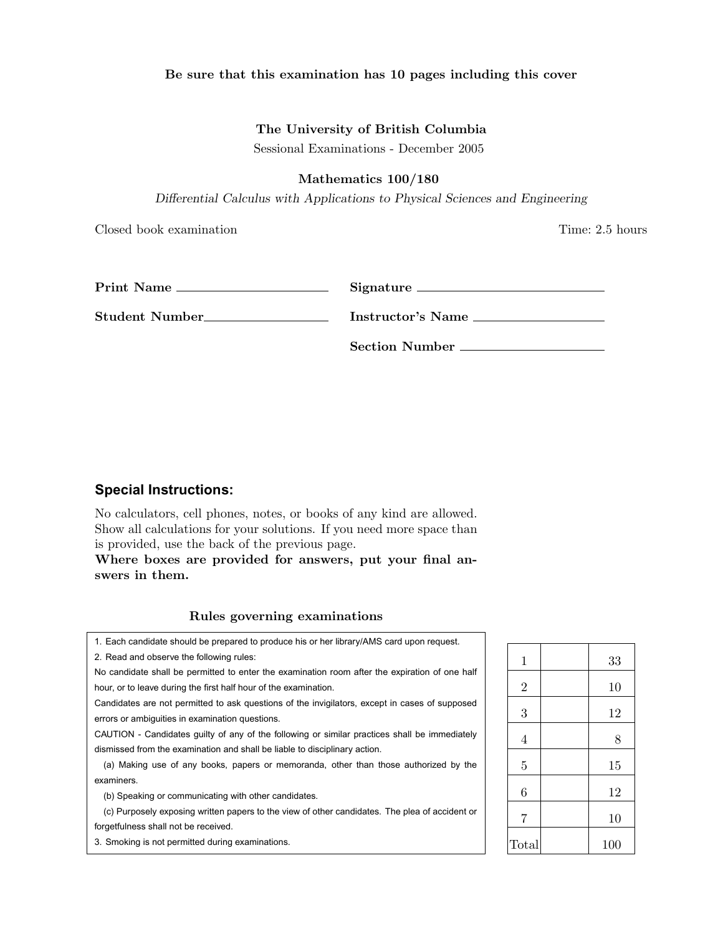# Be sure that this examination has 10 pages including this cover

## The University of British Columbia

Sessional Examinations - December 2005

#### Mathematics 100/180

*Differential Calculus with Applications to Physical Sciences and Engineering*

Closed book examination Time: 2.5 hours

|                                | Signature             |
|--------------------------------|-----------------------|
| Student Number________________ | Instructor's Name     |
|                                | <b>Section Number</b> |

# **Special Instructions:**

No calculators, cell phones, notes, or books of any kind are allowed. Show all calculations for your solutions. If you need more space than is provided, use the back of the previous page.

Where boxes are provided for answers, put your final answers in them.

## Rules governing examinations

1. Each candidate should be prepared to produce his or her library/AMS card upon request. 2. Read and observe the following rules:

No candidate shall be permitted to enter the examination room after the expiration of one half hour, or to leave during the first half hour of the examination.

Candidates are not permitted to ask questions of the invigilators, except in cases of supposed errors or ambiguities in examination questions.

CAUTION - Candidates guilty of any of the following or similar practices shall be immediately dismissed from the examination and shall be liable to disciplinary action.

(a) Making use of any books, papers or memoranda, other than those authorized by the examiners.

(b) Speaking or communicating with other candidates.

(c) Purposely exposing written papers to the view of other candidates. The plea of accident or forgetfulness shall not be received.

3. Smoking is not permitted during examinations.

| $\mathbf 1$    | 33  |
|----------------|-----|
| $\overline{2}$ | 10  |
| 3              | 12  |
| $\overline{4}$ | 8   |
| $\overline{5}$ | 15  |
| 6              | 12  |
| $\overline{7}$ | 10  |
| Total          | 100 |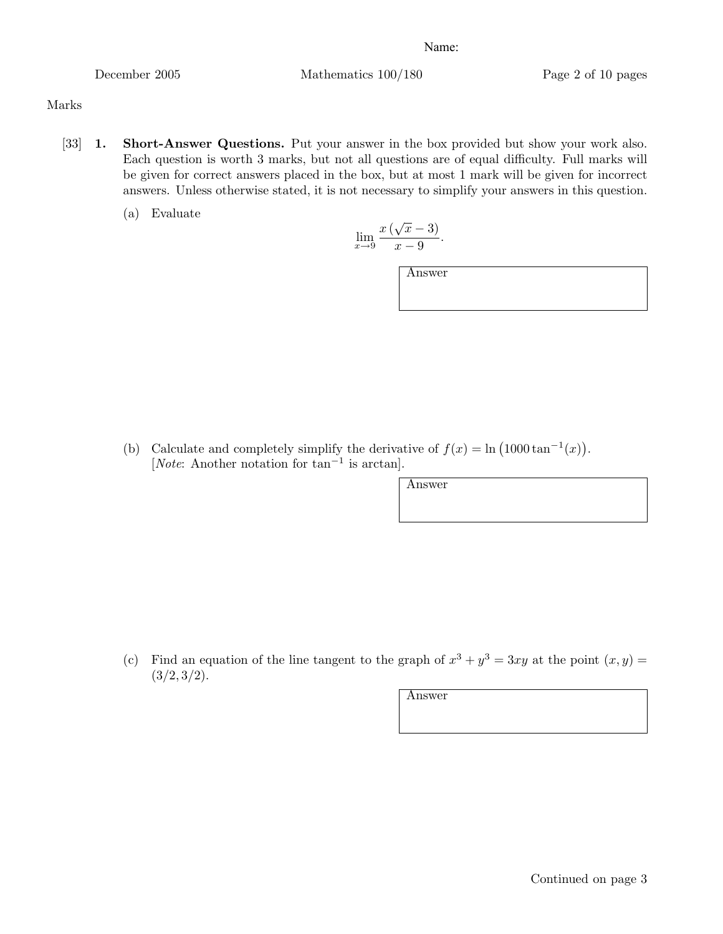December 2005 Mathematics 100/180 Page 2 of 10 pages

# Marks

- [33] 1. Short-Answer Questions. Put your answer in the box provided but show your work also. Each question is worth 3 marks, but not all questions are of equal difficulty. Full marks will be given for correct answers placed in the box, but at most 1 mark will be given for incorrect answers. Unless otherwise stated, it is not necessary to simplify your answers in this question.
	- (a) Evaluate

$$
\lim_{x \to 9} \frac{x(\sqrt{x} - 3)}{x - 9}.
$$

Answer

(b) Calculate and completely simplify the derivative of  $f(x) = \ln(1000 \tan^{-1}(x))$ . [*Note*: Another notation for tan*−*<sup>1</sup> is arctan].

Answer

(c) Find an equation of the line tangent to the graph of  $x^3 + y^3 = 3xy$  at the point  $(x, y) =$  $(3/2, 3/2)$ .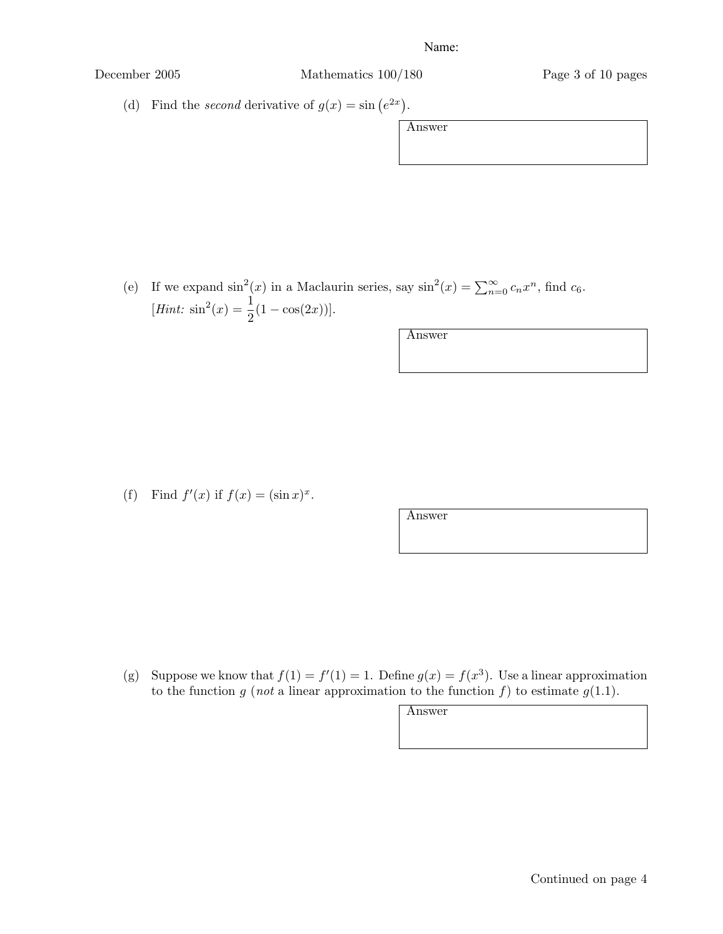December 2005 Mathematics 100/180 Page 3 of 10 pages

(d) Find the *second* derivative of  $g(x) = \sin(e^{2x})$ .

Answer

| (e) If we expand $\sin^2(x)$ in a Maclaurin series, say $\sin^2(x) = \sum_{n=0}^{\infty} c_n x^n$ , find $c_6$ . |
|------------------------------------------------------------------------------------------------------------------|
| [ <i>Hint</i> : $\sin^2(x) = \frac{1}{2}(1 - \cos(2x))$ ].                                                       |

Answer

(f) Find  $f'(x)$  if  $f(x) = (\sin x)^x$ .

Answer

(g) Suppose we know that  $f(1) = f'(1) = 1$ . Define  $g(x) = f(x^3)$ . Use a linear approximation to the function  $g$  (*not* a linear approximation to the function  $f$ ) to estimate  $g(1.1)$ .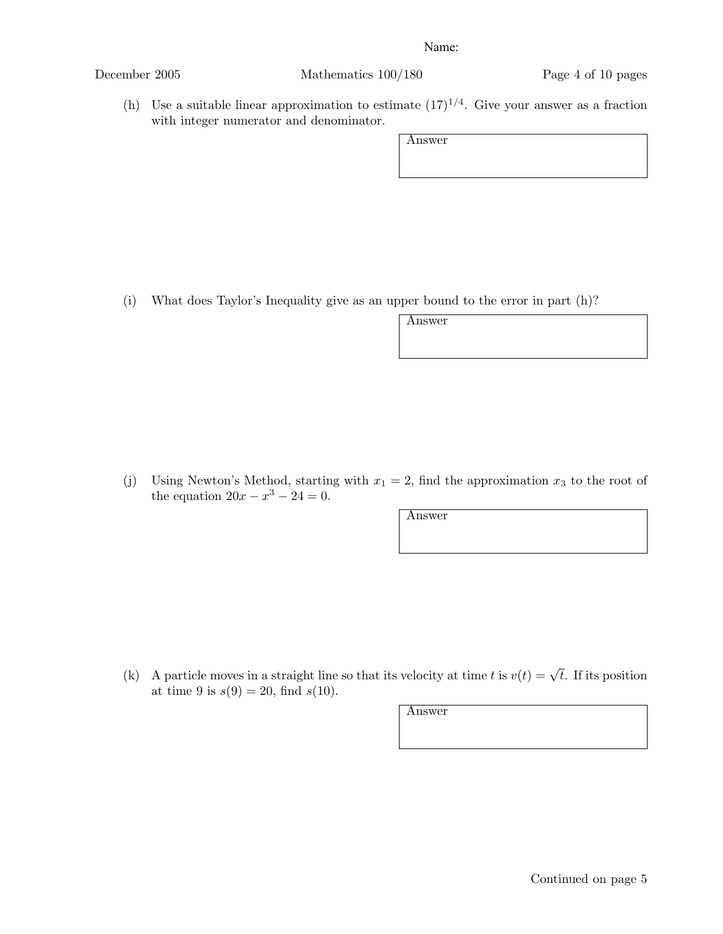December 2005 Mathematics 100/180 Page 4 of 10 pages

(h) Use a suitable linear approximation to estimate  $(17)^{1/4}$ . Give your answer as a fraction with integer numerator and denominator.

Answer

(i) What does Taylor's Inequality give as an upper bound to the error in part (h)?

Answer

(j) Using Newton's Method, starting with  $x_1 = 2$ , find the approximation  $x_3$  to the root of the equation  $20x - x^3 - 24 = 0$ .

Answer

(k) A particle moves in a straight line so that its velocity at time *t* is  $v(t) = \sqrt{t}$ . If its position at time 9 is  $s(9) = 20$ , find  $s(10)$ .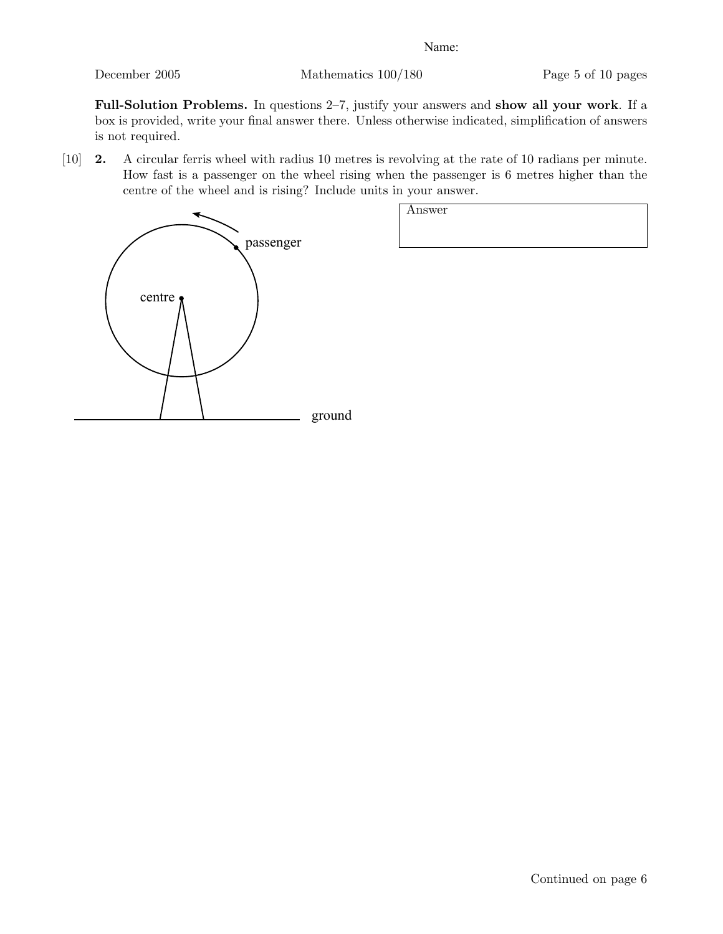December 2005 Mathematics 100/180 Page 5 of 10 pages

Full-Solution Problems. In questions 2–7, justify your answers and show all your work. If a box is provided, write your final answer there. Unless otherwise indicated, simplification of answers is not required.

[10] 2. A circular ferris wheel with radius 10 metres is revolving at the rate of 10 radians per minute. How fast is a passenger on the wheel rising when the passenger is 6 metres higher than the centre of the wheel and is rising? Include units in your answer.



| __________<br>$\bullet$ |  |
|-------------------------|--|
| Answer                  |  |
|                         |  |
|                         |  |
|                         |  |
|                         |  |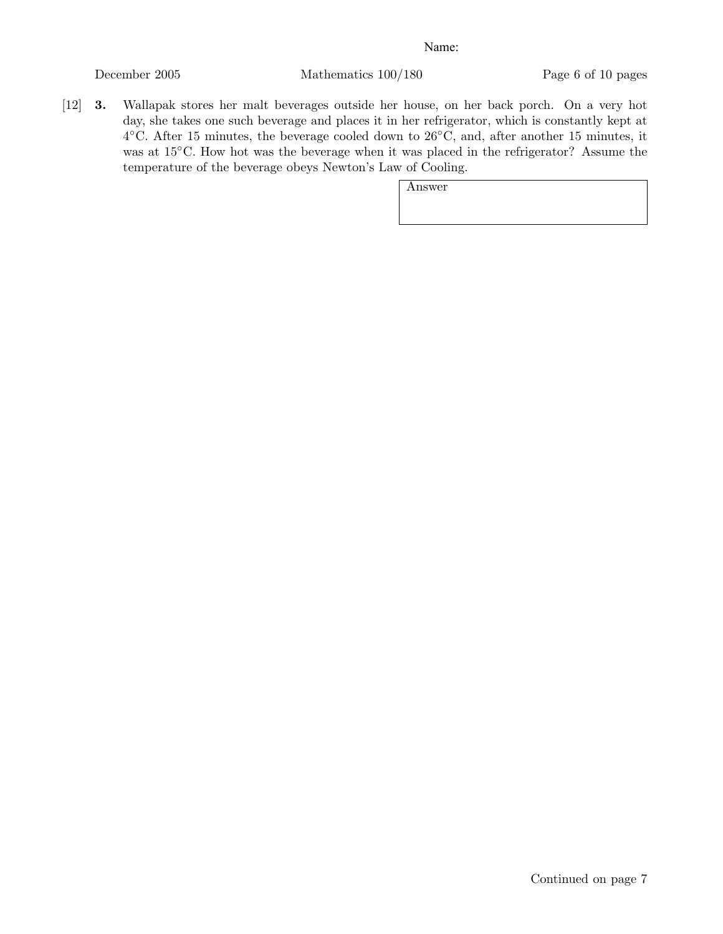December 2005 Mathematics 100/180 Page 6 of 10 pages

[12] 3. Wallapak stores her malt beverages outside her house, on her back porch. On a very hot day, she takes one such beverage and places it in her refrigerator, which is constantly kept at 4*◦*C. After 15 minutes, the beverage cooled down to 26*◦*C, and, after another 15 minutes, it was at 15*◦*C. How hot was the beverage when it was placed in the refrigerator? Assume the temperature of the beverage obeys Newton's Law of Cooling.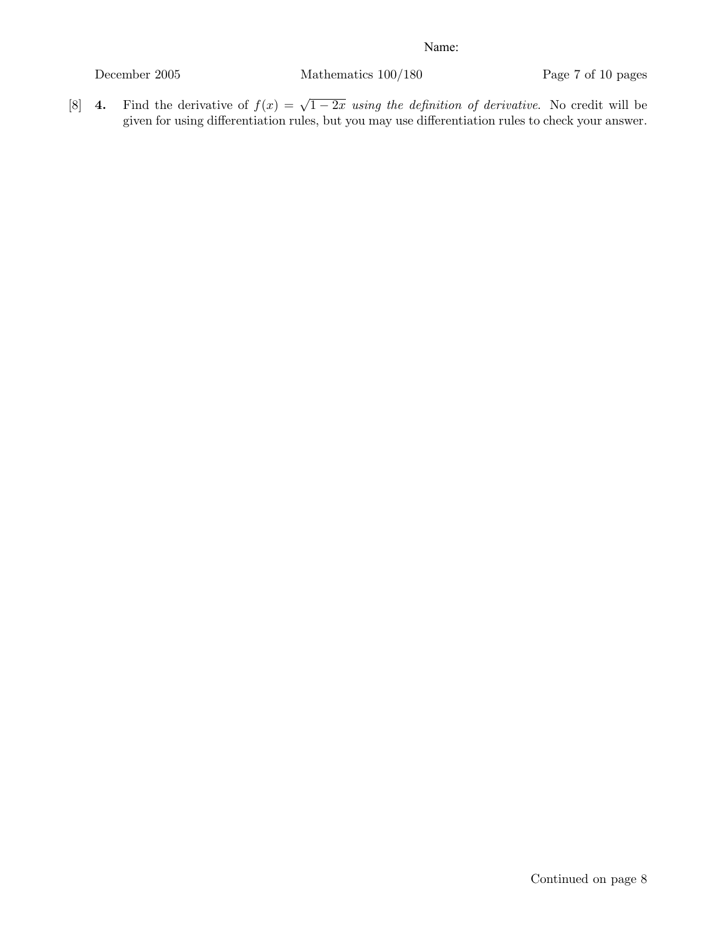December 2005 Mathematics 100/180 Page 7 of 10 pages

[8] 4. Find the derivative of  $f(x) = \sqrt{1-2x}$  *using the definition of derivative*. No credit will be given for using differentiation rules, but you may use differentiation rules to check your answer.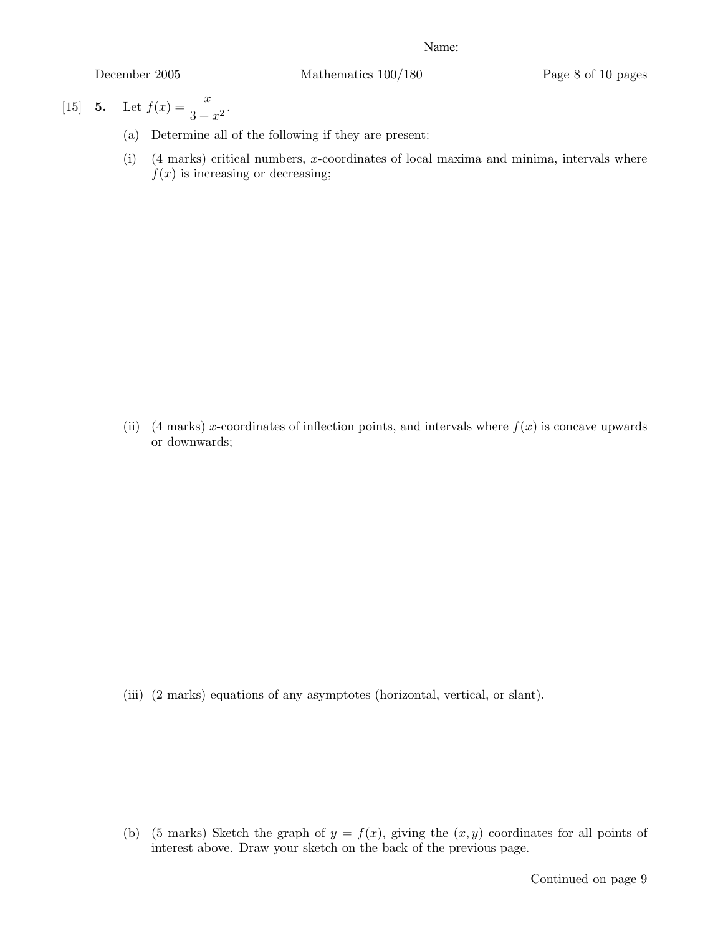December 2005 Mathematics 100/180 Page 8 of 10 pages

[15] **5.** Let  $f(x) = \frac{x}{3 + x^2}$ .

- (a) Determine all of the following if they are present:
- (i) (4 marks) critical numbers, *x*-coordinates of local maxima and minima, intervals where  $f(x)$  is increasing or decreasing;

(ii) (4 marks) *x*-coordinates of inflection points, and intervals where  $f(x)$  is concave upwards or downwards;

(iii) (2 marks) equations of any asymptotes (horizontal, vertical, or slant).

(b) (5 marks) Sketch the graph of  $y = f(x)$ , giving the  $(x, y)$  coordinates for all points of interest above. Draw your sketch on the back of the previous page.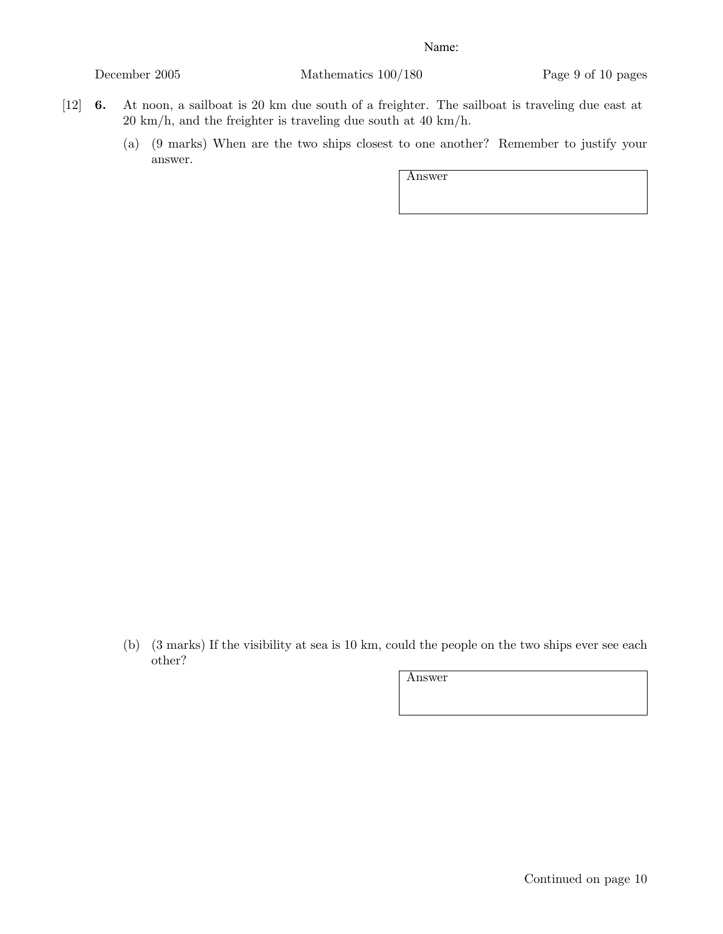December 2005 Mathematics 100/180 Page 9 of 10 pages

- [12] 6. At noon, a sailboat is 20 km due south of a freighter. The sailboat is traveling due east at 20 km/h, and the freighter is traveling due south at 40 km/h.
	- (a) (9 marks) When are the two ships closest to one another? Remember to justify your answer.

Answer

(b) (3 marks) If the visibility at sea is 10 km, could the people on the two ships ever see each other?